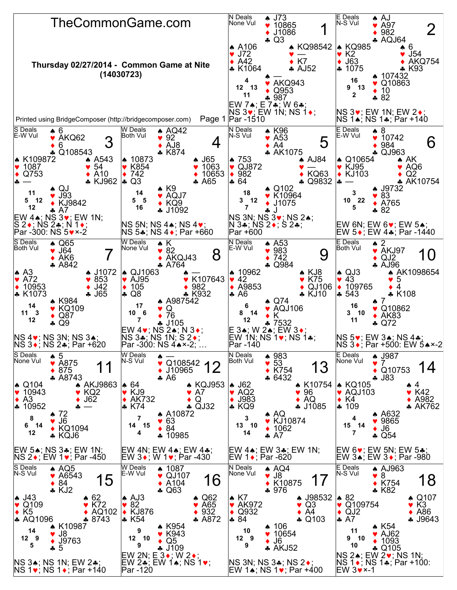